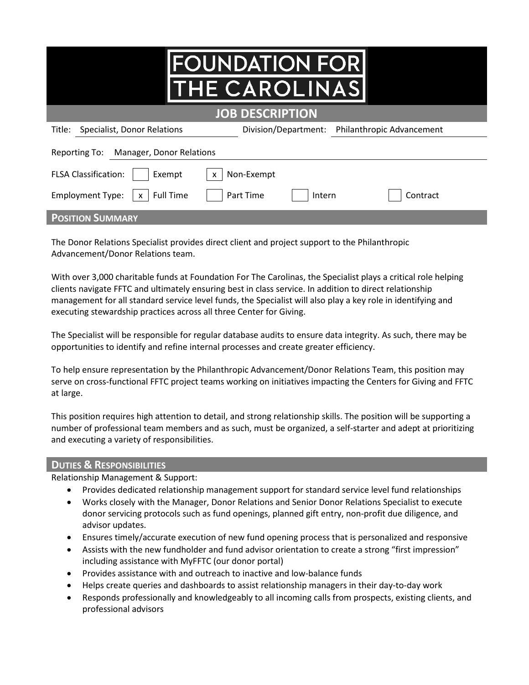|                                                             | <b>FOUNDATION FOR</b><br><b>THE CAROLINAS</b> |                                  |  |  |  |
|-------------------------------------------------------------|-----------------------------------------------|----------------------------------|--|--|--|
| <b>JOB DESCRIPTION</b>                                      |                                               |                                  |  |  |  |
| Specialist, Donor Relations<br>Title:                       | Division/Department:                          | <b>Philanthropic Advancement</b> |  |  |  |
| Manager, Donor Relations<br>Reporting To:                   |                                               |                                  |  |  |  |
| <b>FLSA Classification:</b><br>Non-Exempt<br>Exempt<br>X    |                                               |                                  |  |  |  |
| <b>Full Time</b><br><b>Employment Type:</b><br>$\mathsf{x}$ | Part Time<br>Intern                           | Contract                         |  |  |  |
| <b>POSITION SUMMARY</b>                                     |                                               |                                  |  |  |  |

The Donor Relations Specialist provides direct client and project support to the Philanthropic Advancement/Donor Relations team.

With over 3,000 charitable funds at Foundation For The Carolinas, the Specialist plays a critical role helping clients navigate FFTC and ultimately ensuring best in class service. In addition to direct relationship management for all standard service level funds, the Specialist will also play a key role in identifying and executing stewardship practices across all three Center for Giving.

The Specialist will be responsible for regular database audits to ensure data integrity. As such, there may be opportunities to identify and refine internal processes and create greater efficiency.

To help ensure representation by the Philanthropic Advancement/Donor Relations Team, this position may serve on cross-functional FFTC project teams working on initiatives impacting the Centers for Giving and FFTC at large.

This position requires high attention to detail, and strong relationship skills. The position will be supporting a number of professional team members and as such, must be organized, a self-starter and adept at prioritizing and executing a variety of responsibilities.

## **DUTIES & RESPONSIBILITIES**

Relationship Management & Support:

- Provides dedicated relationship management support for standard service level fund relationships
- Works closely with the Manager, Donor Relations and Senior Donor Relations Specialist to execute donor servicing protocols such as fund openings, planned gift entry, non-profit due diligence, and advisor updates.
- Ensures timely/accurate execution of new fund opening process that is personalized and responsive
- Assists with the new fundholder and fund advisor orientation to create a strong "first impression" including assistance with MyFFTC (our donor portal)
- Provides assistance with and outreach to inactive and low-balance funds
- Helps create queries and dashboards to assist relationship managers in their day-to-day work
- Responds professionally and knowledgeably to all incoming calls from prospects, existing clients, and professional advisors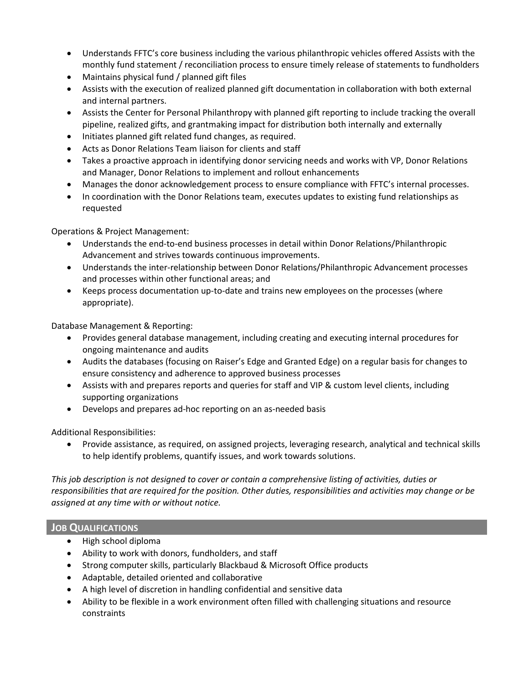- Understands FFTC's core business including the various philanthropic vehicles offered Assists with the monthly fund statement / reconciliation process to ensure timely release of statements to fundholders
- Maintains physical fund / planned gift files
- Assists with the execution of realized planned gift documentation in collaboration with both external and internal partners.
- Assists the Center for Personal Philanthropy with planned gift reporting to include tracking the overall pipeline, realized gifts, and grantmaking impact for distribution both internally and externally
- Initiates planned gift related fund changes, as required.
- Acts as Donor Relations Team liaison for clients and staff
- Takes a proactive approach in identifying donor servicing needs and works with VP, Donor Relations and Manager, Donor Relations to implement and rollout enhancements
- Manages the donor acknowledgement process to ensure compliance with FFTC's internal processes.
- In coordination with the Donor Relations team, executes updates to existing fund relationships as requested

Operations & Project Management:

- Understands the end-to-end business processes in detail within Donor Relations/Philanthropic Advancement and strives towards continuous improvements.
- Understands the inter-relationship between Donor Relations/Philanthropic Advancement processes and processes within other functional areas; and
- Keeps process documentation up-to-date and trains new employees on the processes (where appropriate).

Database Management & Reporting:

- Provides general database management, including creating and executing internal procedures for ongoing maintenance and audits
- Audits the databases (focusing on Raiser's Edge and Granted Edge) on a regular basis for changes to ensure consistency and adherence to approved business processes
- Assists with and prepares reports and queries for staff and VIP & custom level clients, including supporting organizations
- Develops and prepares ad-hoc reporting on an as-needed basis

Additional Responsibilities:

• Provide assistance, as required, on assigned projects, leveraging research, analytical and technical skills to help identify problems, quantify issues, and work towards solutions.

*This job description is not designed to cover or contain a comprehensive listing of activities, duties or responsibilities that are required for the position. Other duties, responsibilities and activities may change or be assigned at any time with or without notice.*

## **JOB QUALIFICATIONS**

- High school diploma
- Ability to work with donors, fundholders, and staff
- Strong computer skills, particularly Blackbaud & Microsoft Office products
- Adaptable, detailed oriented and collaborative
- A high level of discretion in handling confidential and sensitive data
- Ability to be flexible in a work environment often filled with challenging situations and resource constraints